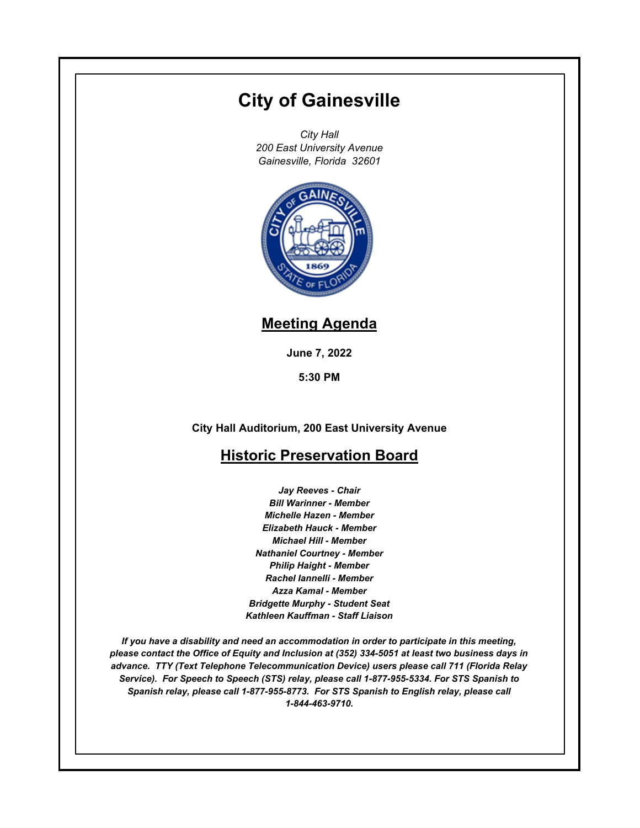# **City of Gainesville**

*City Hall 200 East University Avenue Gainesville, Florida 32601*



## **Meeting Agenda**

**June 7, 2022**

**5:30 PM**

**City Hall Auditorium, 200 East University Avenue**

### **Historic Preservation Board**

*Jay Reeves - Chair Bill Warinner - Member Michelle Hazen - Member Elizabeth Hauck - Member Michael Hill - Member Nathaniel Courtney - Member Philip Haight - Member Rachel Iannelli - Member Azza Kamal - Member Bridgette Murphy - Student Seat Kathleen Kauffman - Staff Liaison*

*If you have a disability and need an accommodation in order to participate in this meeting, please contact the Office of Equity and Inclusion at (352) 334-5051 at least two business days in advance. TTY (Text Telephone Telecommunication Device) users please call 711 (Florida Relay Service). For Speech to Speech (STS) relay, please call 1-877-955-5334. For STS Spanish to Spanish relay, please call 1-877-955-8773. For STS Spanish to English relay, please call 1-844-463-9710.*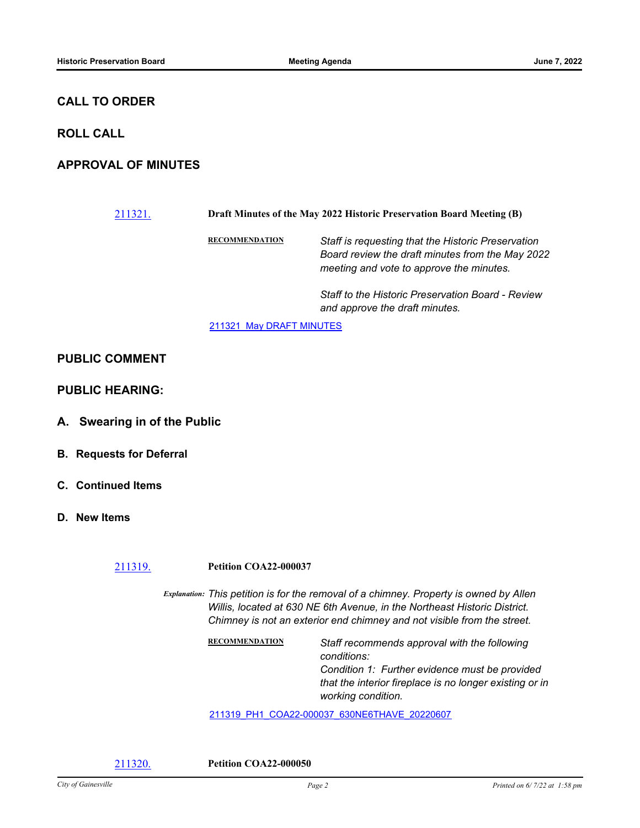#### **CALL TO ORDER**

#### **ROLL CALL**

#### **APPROVAL OF MINUTES**

# [211321.](http://gainesville.legistar.com/gateway.aspx?m=l&id=/matter.aspx?key=34103) **Draft Minutes of the May 2022 Historic Preservation Board Meeting (B)**

**RECOMMENDATION** *Staff is requesting that the Historic Preservation Board review the draft minutes from the May 2022 meeting and vote to approve the minutes.* 

> *Staff to the Historic Preservation Board - Review and approve the draft minutes.*

211321 May DRAFT MINUTES

#### **PUBLIC COMMENT**

**PUBLIC HEARING:**

- **A. Swearing in of the Public**
- **B. Requests for Deferral**
- **C. Continued Items**
- **D. New Items**

#### [211319.](http://gainesville.legistar.com/gateway.aspx?m=l&id=/matter.aspx?key=34101) **Petition COA22-000037**

*Explanation: This petition is for the removal of a chimney. Property is owned by Allen Willis, located at 630 NE 6th Avenue, in the Northeast Historic District. Chimney is not an exterior end chimney and not visible from the street.*

> **RECOMMENDATION** *Staff recommends approval with the following conditions: Condition 1: Further evidence must be provided that the interior fireplace is no longer existing or in working condition.*

[211319\\_PH1\\_COA22-000037\\_630NE6THAVE\\_20220607](http://Gainesville.legistar.com/gateway.aspx?M=F&ID=cc97b499-3ce2-431b-ba31-35d5725dc407.pdf)